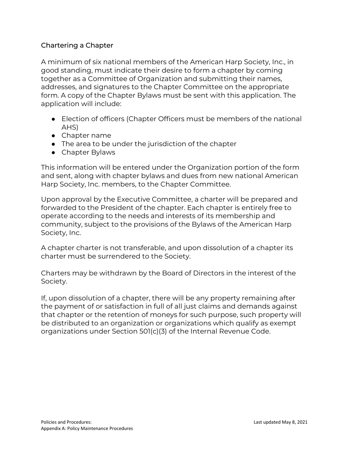## Chartering a Chapter

A minimum of six national members of the American Harp Society, Inc., in good standing, must indicate their desire to form a chapter by coming together as a Committee of Organization and submitting their names, addresses, and signatures to the Chapter Committee on the appropriate form. A copy of the Chapter Bylaws must be sent with this application. The application will include:

- Election of officers (Chapter Officers must be members of the national AHS)
- Chapter name
- The area to be under the jurisdiction of the chapter
- Chapter Bylaws

This information will be entered under the Organization portion of the form and sent, along with chapter bylaws and dues from new national American Harp Society, Inc. members, to the Chapter Committee.

Upon approval by the Executive Committee, a charter will be prepared and forwarded to the President of the chapter. Each chapter is entirely free to operate according to the needs and interests of its membership and community, subject to the provisions of the Bylaws of the American Harp Society, Inc.

A chapter charter is not transferable, and upon dissolution of a chapter its charter must be surrendered to the Society.

Charters may be withdrawn by the Board of Directors in the interest of the Society.

If, upon dissolution of a chapter, there will be any property remaining after the payment of or satisfaction in full of all just claims and demands against that chapter or the retention of moneys for such purpose, such property will be distributed to an organization or organizations which qualify as exempt organizations under Section 501(c)(3) of the Internal Revenue Code.